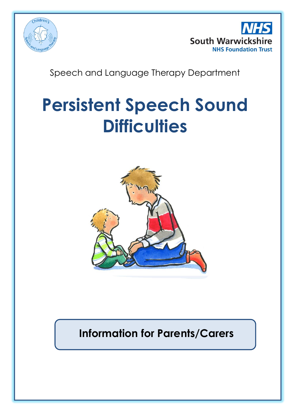



# Speech and Language Therapy Department

# **Persistent Speech Sound Difficulties**



# **Information for Parents/Carers**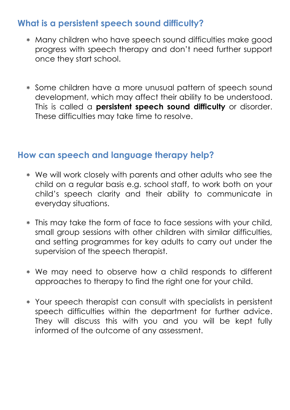## **What is a persistent speech sound difficulty?**

- Many children who have speech sound difficulties make good progress with speech therapy and don't need further support once they start school.
- Some children have a more unusual pattern of speech sound development, which may affect their ability to be understood. This is called a **persistent speech sound difficulty** or disorder. These difficulties may take time to resolve.

### **How can speech and language therapy help?**

- We will work closely with parents and other adults who see the child on a regular basis e.g. school staff, to work both on your child's speech clarity and their ability to communicate in everyday situations.
- This may take the form of face to face sessions with your child, small group sessions with other children with similar difficulties, and setting programmes for key adults to carry out under the supervision of the speech therapist.
- We may need to observe how a child responds to different approaches to therapy to find the right one for your child.
- Your speech therapist can consult with specialists in persistent speech difficulties within the department for further advice. They will discuss this with you and you will be kept fully informed of the outcome of any assessment.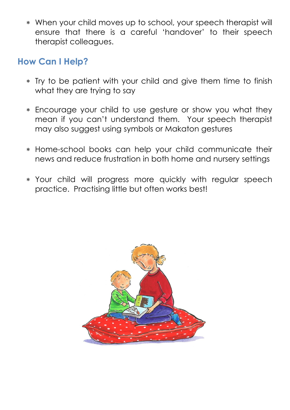When your child moves up to school, your speech therapist will ensure that there is a careful 'handover' to their speech therapist colleagues.

## **How Can I Help?**

- Try to be patient with your child and give them time to finish what they are trying to say
- Encourage your child to use gesture or show you what they mean if you can't understand them. Your speech therapist may also suggest using symbols or Makaton gestures
- Home-school books can help your child communicate their news and reduce frustration in both home and nursery settings
- Your child will progress more quickly with regular speech practice. Practising little but often works best!